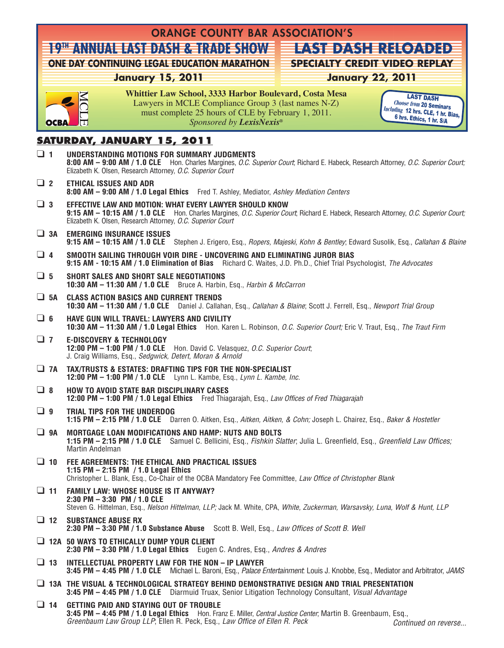|                                   | <b>ORANGE COUNTY BAR ASSOCIATION'S</b> |                                                                                                                                                                                                                                                              |                                                                                          |  |  |  |
|-----------------------------------|----------------------------------------|--------------------------------------------------------------------------------------------------------------------------------------------------------------------------------------------------------------------------------------------------------------|------------------------------------------------------------------------------------------|--|--|--|
|                                   |                                        | I 945ANNUA E ASIEDAS HE& RAD ISHOWE                                                                                                                                                                                                                          | FAS1EDAS1ERECOADED                                                                       |  |  |  |
|                                   |                                        | <b>ONE DAY CONTINUING LEGAL EDUCATION MARATHON</b>                                                                                                                                                                                                           | <b>SPECIALTY CREDIT VIDEO REPLAY</b>                                                     |  |  |  |
|                                   |                                        | <b>January 15, 2011</b>                                                                                                                                                                                                                                      | <b>January 22, 2011</b>                                                                  |  |  |  |
|                                   |                                        | Whittier Law School, 3333 Harbor Boulevard, Costa Mesa<br>Lawyers in MCLE Compliance Group 3 (last names N-Z)<br>must complete 25 hours of CLE by February 1, 2011.                                                                                          | <b>LAST DASH</b><br><b>Choose from 20 Seminars</b><br>Including 12 hrs. CLE, 1 hr. Bias, |  |  |  |
|                                   | OCBA                                   | Sponsored by LexisNexis®                                                                                                                                                                                                                                     | 6 hrs. Ethics, 1 hr. S/A                                                                 |  |  |  |
| <b>SATURDAY, JANUARY 15, 2011</b> |                                        |                                                                                                                                                                                                                                                              |                                                                                          |  |  |  |
|                                   | $\Box$ 1                               | UNDERSTANDING MOTIONS FOR SUMMARY JUDGMENTS<br>8:00 AM - 9:00 AM / 1.0 CLE Hon. Charles Margines, O.C. Superior Court, Richard E. Habeck, Research Attorney, O.C. Superior Court;<br>Elizabeth K. Olsen, Research Attorney, O.C. Superior Court              |                                                                                          |  |  |  |
|                                   | $\Box$ 2                               | <b>ETHICAL ISSUES AND ADR</b><br>8:00 AM - 9:00 AM / 1.0 Legal Ethics Fred T. Ashley, Mediator, Ashley Mediation Centers                                                                                                                                     |                                                                                          |  |  |  |
|                                   | $\Box$ 3                               | EFFECTIVE LAW AND MOTION: WHAT EVERY LAWYER SHOULD KNOW<br>9:15 AM - 10:15 AM / 1.0 CLE Hon. Charles Margines, O.C. Superior Court, Richard E. Habeck, Research Attorney, O.C. Superior Court;<br>Elizabeth K. Olsen, Research Attorney, O.C. Superior Court |                                                                                          |  |  |  |
|                                   | $\Box$ 3A                              | <b>EMERGING INSURANCE ISSUES</b><br>9:15 AM - 10:15 AM / 1.0 CLE Stephen J. Erigero, Esq., Ropers, Majeski, Kohn & Bentley, Edward Susolik, Esq., Callahan & Blaine                                                                                          |                                                                                          |  |  |  |
|                                   | $\Box$ 4                               | SMOOTH SAILING THROUGH VOIR DIRE - UNCOVERING AND ELIMINATING JUROR BIAS<br>9:15 AM - 10:15 AM / 1.0 Elimination of Bias Richard C. Waites, J.D. Ph.D., Chief Trial Psychologist, The Advocates                                                              |                                                                                          |  |  |  |
|                                   | $\Box$ 5                               | SHORT SALES AND SHORT SALE NEGOTIATIONS<br><b>10:30 AM - 11:30 AM / 1.0 CLE</b> Bruce A. Harbin, Esq., <i>Harbin &amp; McCarron</i>                                                                                                                          |                                                                                          |  |  |  |
|                                   | $\Box$ 5A                              | <b>CLASS ACTION BASICS AND CURRENT TRENDS</b><br>10:30 AM - 11:30 AM / 1.0 CLE Daniel J. Callahan, Esq., Callahan & Blaine; Scott J. Ferrell, Esq., Newport Trial Group                                                                                      |                                                                                          |  |  |  |
|                                   | $\Box$ 6                               | <b>HAVE GUN WILL TRAVEL: LAWYERS AND CIVILITY</b><br>10:30 AM - 11:30 AM / 1.0 Legal Ethics Hon. Karen L. Robinson, O.C. Superior Court; Eric V. Traut, Esq., The Traut Firm                                                                                 |                                                                                          |  |  |  |
|                                   | $\Box$ 7                               | <b>E-DISCOVERY &amp; TECHNOLOGY</b><br>12:00 PM - 1:00 PM / 1.0 CLE Hon. David C. Velasquez, O.C. Superior Court,<br>J. Craig Williams, Esq., Sedgwick, Detert, Moran & Arnold                                                                               |                                                                                          |  |  |  |
|                                   | $\Box$ 7A                              | TAX/TRUSTS & ESTATES: DRAFTING TIPS FOR THE NON-SPECIALIST<br>12:00 PM - 1:00 PM / 1.0 CLE Lynn L. Kambe, Esq., Lynn L. Kambe, Inc.                                                                                                                          |                                                                                          |  |  |  |
|                                   | $\Box$ 8                               | <b>HOW TO AVOID STATE BAR DISCIPLINARY CASES</b><br>12:00 PM - 1:00 PM / 1.0 Legal Ethics Fred Thiagarajah, Esq., Law Offices of Fred Thiagarajah                                                                                                            |                                                                                          |  |  |  |
|                                   | $\Box$ 9                               | TRIAL TIPS FOR THE UNDERDOG<br>1:15 PM - 2:15 PM / 1.0 CLE Darren O. Aitken, Esq., Aitken, Aitken, & Cohn; Joseph L. Chairez, Esq., Baker & Hostetler                                                                                                        |                                                                                          |  |  |  |
|                                   | $\Box$ 9A                              | <b>MORTGAGE LOAN MODIFICATIONS AND HAMP: NUTS AND BOLTS</b><br>1:15 PM - 2:15 PM / 1.0 CLE Samuel C. Bellicini, Esq., Fishkin Slatter, Julia L. Greenfield, Esq., Greenfield Law Offices;<br>Martin Andelman                                                 |                                                                                          |  |  |  |
|                                   | $\Box$ 10                              | FEE AGREEMENTS: THE ETHICAL AND PRACTICAL ISSUES<br>1:15 PM $-$ 2:15 PM $/$ 1.0 Legal Ethics<br>Christopher L. Blank, Esq., Co-Chair of the OCBA Mandatory Fee Committee, Law Office of Christopher Blank                                                    |                                                                                          |  |  |  |
|                                   | $\cup$ 11                              | <b>FAMILY LAW: WHOSE HOUSE IS IT ANYWAY?</b><br>2:30 PM - 3:30 PM / 1.0 CLE<br>Steven G. Hittelman, Esq., Nelson Hittelman, LLP; Jack M. White, CPA, White, Zuckerman, Warsavsky, Luna, Wolf & Hunt, LLP                                                     |                                                                                          |  |  |  |
|                                   | $\Box$ 12                              | <b>SUBSTANCE ABUSE RX</b><br>2:30 PM - 3:30 PM / 1.0 Substance Abuse Scott B. Well, Esq., Law Offices of Scott B. Well                                                                                                                                       |                                                                                          |  |  |  |
|                                   |                                        | $\Box$ 12A 50 WAYS TO ETHICALLY DUMP YOUR CLIENT<br>2:30 PM - 3:30 PM / 1.0 Legal Ethics Eugen C. Andres, Esq., Andres & Andres                                                                                                                              |                                                                                          |  |  |  |
|                                   | $\Box$ 13                              | INTELLECTUAL PROPERTY LAW FOR THE NON - IP LAWYER<br>3:45 PM - 4:45 PM / 1.0 CLE Michael L. Baroni, Esq., Palace Entertainment: Louis J. Knobbe, Esq., Mediator and Arbitrator, JAMS                                                                         |                                                                                          |  |  |  |
|                                   |                                        | $\Box$ 13A THE VISUAL & TECHNOLOGICAL STRATEGY BEHIND DEMONSTRATIVE DESIGN AND TRIAL PRESENTATION<br>3:45 PM - 4:45 PM / 1.0 CLE Diarmuid Truax, Senior Litigation Technology Consultant, Visual Advantage                                                   |                                                                                          |  |  |  |
|                                   | $\Box$ 14                              | GETTING PAID AND STAYING OUT OF TROUBLE<br>3:45 PM - 4:45 PM / 1.0 Legal Ethics Hon. Franz E. Miller, Central Justice Center, Martin B. Greenbaum, Esq.,<br>Greenbaum Law Group LLP; Ellen R. Peck, Esq., Law Office of Ellen R. Peck                        | Continued on reverse                                                                     |  |  |  |